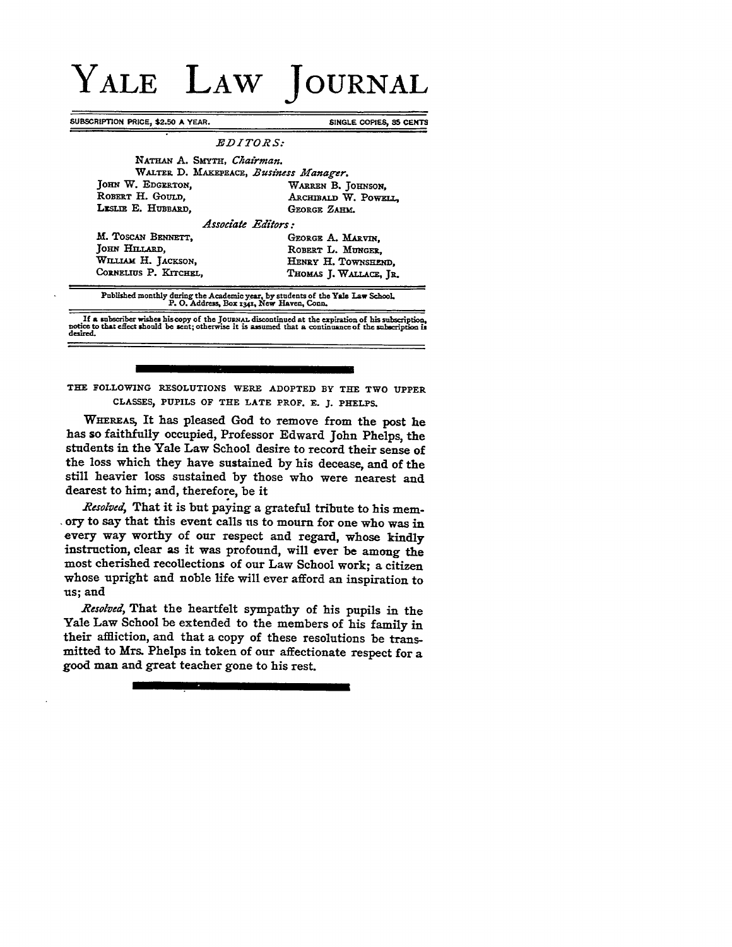## **YALE LAW JOURNAL**

**SUBSCRIPTION PRICE, \$2.50 A YEAR. SINGLE COPIES, 85 CENTS**

| <i>EDITORS:</i><br>NATHAN A. SMYTH, Chairman. |                                                                                                                              |
|-----------------------------------------------|------------------------------------------------------------------------------------------------------------------------------|
|                                               |                                                                                                                              |
| JOHN W. EDGERTON.                             | WARREN B. JOHNSON.                                                                                                           |
| ROBERT H. GOULD,                              | ARCHIBALD W. POWELL                                                                                                          |
| LESLIE E. HUBBARD.                            | GEORGE ZAHM.                                                                                                                 |
|                                               | Associate Editors:                                                                                                           |
| M. TOSCAN BENNETT.                            | GEORGE A. MARVIN.                                                                                                            |
| JOHN HILLARD.                                 | ROBERT L. MUNGER.                                                                                                            |
| WILLIAM H. JACKSON,                           | HENRY H. TOWNSHEND.                                                                                                          |
| CORNELIUS P. KITCHEL.                         | Thomas J. Wallace, Jr.                                                                                                       |
|                                               | Published monthly during the Academic year, by students of the Yale Law School,<br>P. O. Address, Box 1341, New Haven, Conn. |
|                                               | If a subscriber wishes his copy of the JOURNAL discontinued at the expiration of his subscription,                           |

notice to that effect should be sent; otherwise it is assumed that a continuance of the subscription, desired.

THE FOLLOWING RESOLUTIONS WERE **ADOPTED** BY **THE TWO UPPER CLASSES, PUPILS** OF THE **LATE** PROF. **E. J.** PHELPS.

WHEREAS, It has pleased God to remove from the post he has so faithfully occupied, Professor Edward John Phelps, the students in the Yale Law School desire to record their sense of the loss which they have sustained **by** his decease, and of the still heavier loss sustained **by** those who were nearest and dearest to him; and, therefore, be it

*Resolved,* That it is but paying a grateful tribute to his memory to say that this event calls us to mourn for one who was in every way worthy of our respect and regard, whose kindly instruction, clear as it was profound, will ever be among the most cherished recollections of our Law School work; a citizen whose upright and noble life will ever afford an inspiration to us; and

*Resolved,* That the heartfelt sympathy of his pupils in the Yale Law School be extended to the members of his family in their affliction, and that a copy of these resolutions be transmitted to Mrs. Phelps in token of our affectionate respect for a good man and great teacher gone to his rest.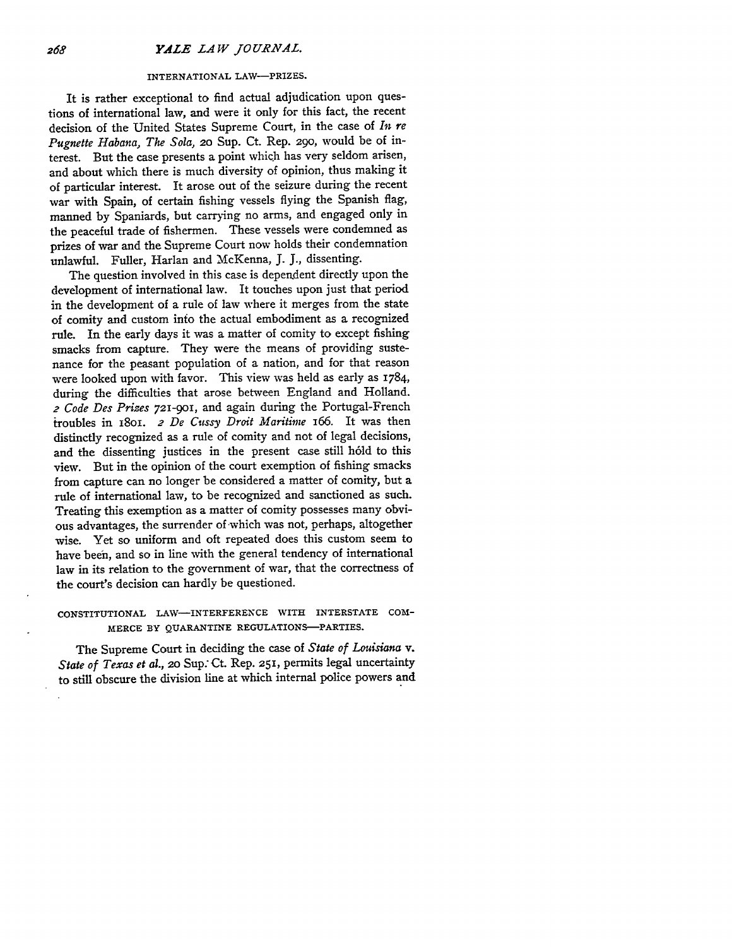## INTERNATIONAL LAW-PRIZES.

It is rather exceptional to find actual adjudication upon questions of international law, and were it only for this fact, the recent decision of the United States Supreme Court, in the case of *In re* Pugnette Habana, The Sola, 20 Sup. Ct. Rep. 290, would be of interest. But the case presents a point which has very seldom arisen, and about which there is much diversity of opinion, thus making it of particular interest. It arose out of the seizure during the recent war with Spain, of certain fishing vessels flying the Spanish flag, manned **by** Spaniards, but carrying no arms, and engaged only in the peaceful trade of fishermen. These vessels were condemned as prizes of war and the Supreme Court now holds their condemnation unlawful. Fuller, Harlan and McKenna, J. **J.,** dissenting.

The question involved in this case is dependent directly upon the development of international law. It touches upon just that period in the development of a rule of law where it merges from the state of comity and custom into the actual embodiment as a recognized rule. In the early days it was a matter of comity to except fishing smacks from capture. They were the means of providing sustenance for the peasant population of a nation, and for that reason were looked upon with favor. This view was held as early as 1784, during the difficulties that arose between England and Holland. 2 *Code Des Prizes* 721-9Ol, and again during the Portugal-French troubles in **18ol.** 2 *De Cussy Droit Maritime* 166. It was then distinctly recognized as a rule of comity and not of legal decisions, and the dissenting justices in the present case still hóld to this view. But in the opinion of the court exemption of fishing smacks from capture can no longer be considered a matter of comity, but a rule of international law, to be recognized and sanctioned as such. Treating this exemption as a matter of comity possesses many obvious advantages, the surrender of which was not, perhaps, altogether wise. Yet so uniform and oft repeated does this custom seem to have been, and so in line with the general tendency of international law in its relation to the government of war, that the correctness of the court's decision can hardly be questioned.

## **CONSTITUTIONAL** LAW-INTERFERENCE WITH INTERSTATE **COM-**MERCE BY QUARANTINE REGULATIONS-PARTIES.

The Supreme Court in deciding the case of *State of Louisiana v. State of Texas et al., 20* Sup: Ct. Rep. **251,** permits legal uncertainty to still obscure the division line at which internal police powers and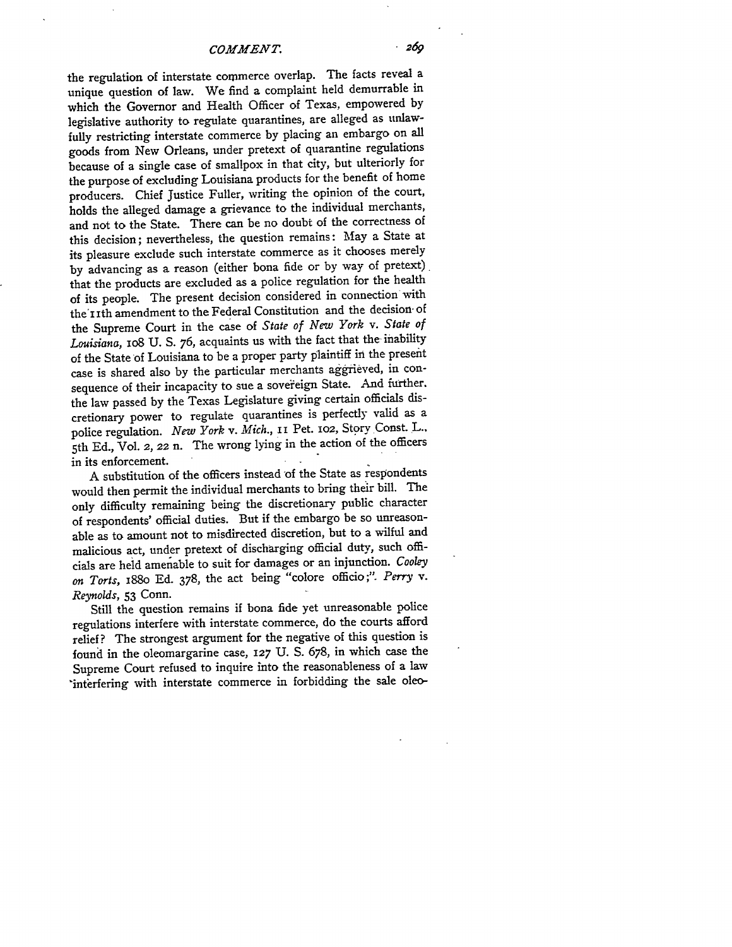the regulation of interstate commerce overlap. The facts reveal a unique question of law. We find a complaint held demurrable in which the Governor and Health Officer of Texas, empowered by legislative authority to regulate quarantines, are alleged as unlawfully restricting interstate commerce by placing an embargo on all goods from New Orleans, under pretext of quarantine regulations because of a single case of smallpox in that city, but ulteriorly for the purpose of excluding Louisiana products for the benefit of home producers. Chief Justice Fuller, writing the opinion of the court, holds the alleged damage a grievance to the individual merchants, and not to the State. There can be no doubt of the correctness of this decision; nevertheless, the question remains: May a State at its pleasure exclude such interstate commerce as it chooses merely by advancing as a reason (either bona fide or by way of pretext). that the products are excluded as a police regulation for the health of its people. The present decision considered in connection with the'I ith amendment to the Federal Constitution and the decision- of the Supreme Court in the case of *State of New York v. State of Louisiana,* **1o8** U. **S.** 76, acquaints us with the fact that the inability of the State of Louisiana to be a proper party plaintiff in the preseit case is shared also by the particular merchants aggrieved, in consequence of their incapacity to sue a sovereign State. And further. the law passed by the Texas Legislature giving certain officials discretionary power to regulate quarantines is perfectly valid as a police regulation. *New York v. Mich., II* Pet. **io2,** Story Const. L., 5th Ed., Vol. 2, 22 n. The wrong lying in the action of the officers in its enforcement.

A substitution of the officers instead of the State as respondents would then permit the individual merchants to bring their bill. The only difficulty remaining being the discretionary public character of respondents' official duties. But if the embargo be so unreasonable as to amount not to misdirected discretion, but to a wilful and malicious act, under pretext of discharging official duty, such officials are held amenable to suit for damages or an injunction. *Cooley on Torts,* i88o Ed. 378, the act being "colore officio ;". *Perry* v. *Reynolds,* **53** Conn.

Still the question remains if bona fide yet unreasonable police regulations interfere with interstate commerce, do the courts afford relief? The strongest argument for the negative of this question is found in the oleomargarine case, **127** U. **S.** 678, in which case the Supreme Court refused to inquire into the reasonableness of a law 'interfering with interstate commerce in forbidding the sale oleo-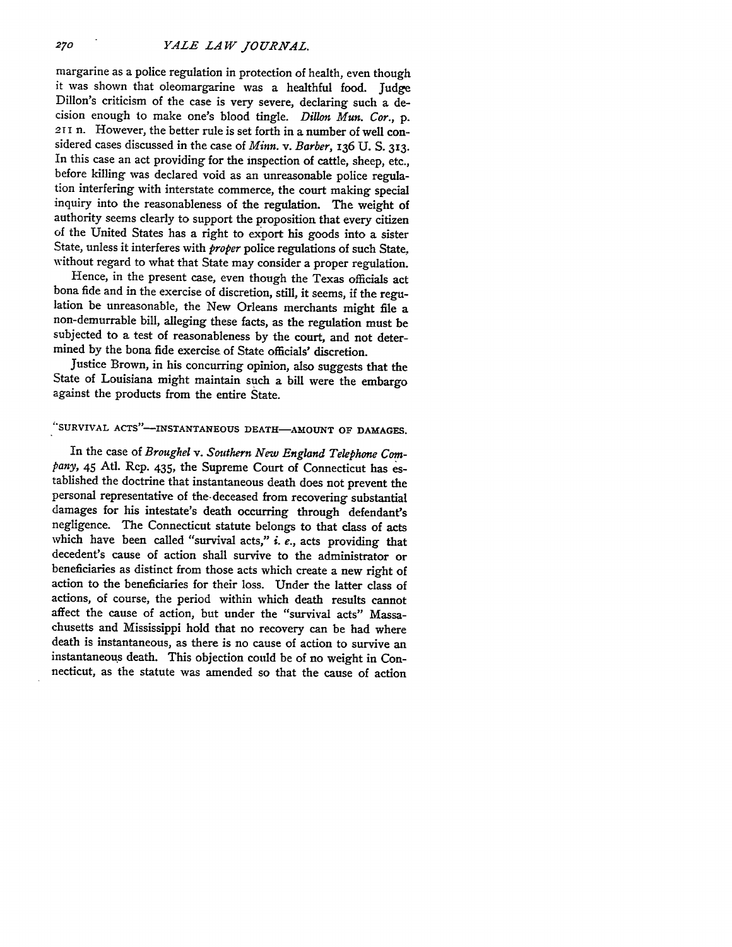margarine as a police regulation in protection of health, even though **it** was shown that oleomargarine was a healthful food. Judge Dillon's criticism of the case is very severe, declaring such a decision enough to make one's blood tingle. *Dillon Mun. Cor., p. 21* n. However, the better rule is set forth in a number of well considered cases discussed in the case of Minn. *v. Barber,* 136 **U. S. 313.** In this case an act providing for the inspection of cattle, sheep, etc., before killing was declared void as an unreasonable police regulation interfering with interstate commerce, the court making special inquiry into the reasonableness of the regulation. The weight of authority seems clearly to support the proposition that every citizen of the United States has a right to export his goods into a sister State, unless it interferes with *proper* police regulations of such State, without regard to what that State may consider a proper regulation.

Hence, in the present case, even though the Texas officials act bona fide and in the exercise of discretion, still, it seems, if the regulation be unreasonable, the New Orleans merchants might file a non-demurrable bill, alleging these facts, as the regulation must be subjected to a test of reasonableness **by** the court, and not determined **by** the bona fide exercise of State officials' discretion.

Justice Brown, in his concurring opinion, also suggests that the State of Louisiana might maintain such a bill were the embargo against the products from the entire State.

## **"SURVIVAL ACTS'--INSTANTANEOUS DEATH-AMOUNT** OF **DAMAGES.**

In the case of *Broughel v. Southern New England Telephone Company,* 45 Atl. Rep. 435, the Supreme Court of Connecticut has established the doctrine that instantaneous death does not prevent the personal representative of the-deceased from recovering substantial damages for his intestate's death occurring through defendant's negligence. The Connecticut statute belongs to that class of acts which have been called "survival acts," *i. e.,* acts providing that decedent's cause of action shall survive to the administrator or beneficiaries as distinct from those acts which create a new right of action to the beneficiaries for their loss. Under the latter class of actions, of course, the period within which death results cannot affect the cause of action, but under the "survival acts" Massachusetts and Mississippi hold that no recovery can be had where death is instantaneous, as there is no cause of action to survive an instantaneous death. This objection could be of no weight in Connecticut, as the statute was amended so that the cause of action